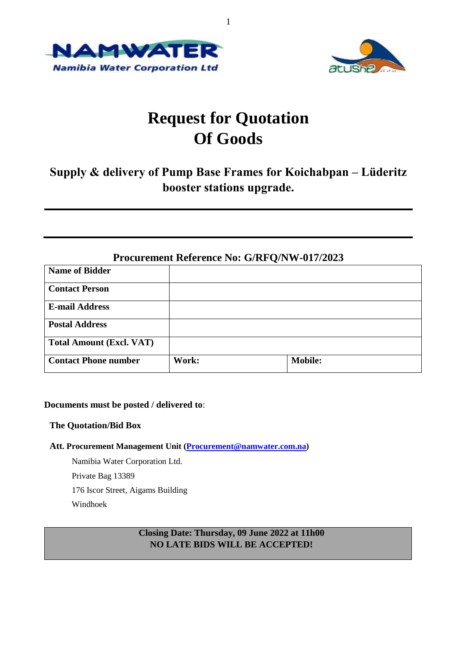



# **Request for Quotation Of Goods**

## **Supply & delivery of Pump Base Frames for Koichabpan – Lüderitz booster stations upgrade.**

| <b>Procurement Reference No: G/RFQ/NW-017/2023</b> |       |                |  |  |
|----------------------------------------------------|-------|----------------|--|--|
| <b>Name of Bidder</b>                              |       |                |  |  |
| <b>Contact Person</b>                              |       |                |  |  |
| <b>E-mail Address</b>                              |       |                |  |  |
| <b>Postal Address</b>                              |       |                |  |  |
| <b>Total Amount (Excl. VAT)</b>                    |       |                |  |  |
| <b>Contact Phone number</b>                        | Work: | <b>Mobile:</b> |  |  |

#### **Documents must be posted / delivered to**:

#### **The Quotation/Bid Box**

#### **Att. Procurement Management Unit [\(Procurement@namwater.com.na\)](mailto:Procurement@namwater.com.na)**

Namibia Water Corporation Ltd. Private Bag 13389 176 Iscor Street, Aigams Building Windhoek

### **Closing Date: Thursday, 09 June 2022 at 11h00 NO LATE BIDS WILL BE ACCEPTED!**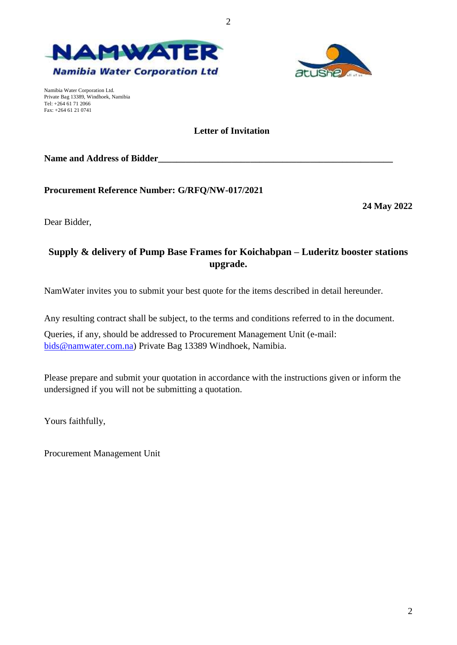



Namibia Water Corporation Ltd. Private Bag 13389, Windhoek, Namibia Tel: +264 61 71 2066 Fax: +264 61 21 0741

#### **Letter of Invitation**

Name and Address of Bidder

**Procurement Reference Number: G/RFQ/NW-017/2021**

**24 May 2022**

2

Dear Bidder,

## **Supply & delivery of Pump Base Frames for Koichabpan – Luderitz booster stations upgrade.**

NamWater invites you to submit your best quote for the items described in detail hereunder.

Any resulting contract shall be subject, to the terms and conditions referred to in the document.

Queries, if any, should be addressed to Procurement Management Unit (e-mail: [bids@namwater.com.na\)](mailto:bids@namwater.com.na) Private Bag 13389 Windhoek, Namibia.

Please prepare and submit your quotation in accordance with the instructions given or inform the undersigned if you will not be submitting a quotation.

Yours faithfully,

Procurement Management Unit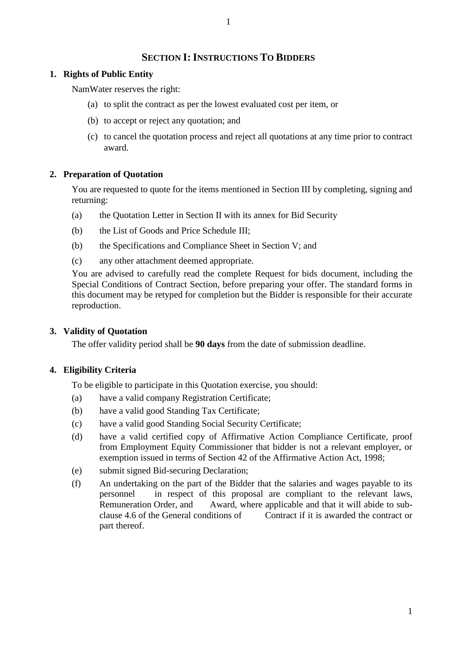### **SECTION I:INSTRUCTIONS TO BIDDERS**

#### **1. Rights of Public Entity**

NamWater reserves the right:

- (a) to split the contract as per the lowest evaluated cost per item, or
- (b) to accept or reject any quotation; and
- (c) to cancel the quotation process and reject all quotations at any time prior to contract award.

### **2. Preparation of Quotation**

You are requested to quote for the items mentioned in Section III by completing, signing and returning:

- (a) the Quotation Letter in Section II with its annex for Bid Security
- (b) the List of Goods and Price Schedule III;
- (b) the Specifications and Compliance Sheet in Section V; and
- (c) any other attachment deemed appropriate.

You are advised to carefully read the complete Request for bids document, including the Special Conditions of Contract Section, before preparing your offer. The standard forms in this document may be retyped for completion but the Bidder is responsible for their accurate reproduction.

### **3. Validity of Quotation**

The offer validity period shall be **90 days** from the date of submission deadline.

### **4. Eligibility Criteria**

To be eligible to participate in this Quotation exercise, you should:

- (a) have a valid company Registration Certificate;
- (b) have a valid good Standing Tax Certificate;
- (c) have a valid good Standing Social Security Certificate;
- (d) have a valid certified copy of Affirmative Action Compliance Certificate, proof from Employment Equity Commissioner that bidder is not a relevant employer, or exemption issued in terms of Section 42 of the Affirmative Action Act, 1998;
- (e) submit signed Bid-securing Declaration;
- (f) An undertaking on the part of the Bidder that the salaries and wages payable to its personnel in respect of this proposal are compliant to the relevant laws, Remuneration Order, and Award, where applicable and that it will abide to subclause 4.6 of the General conditions of Contract if it is awarded the contract or part thereof.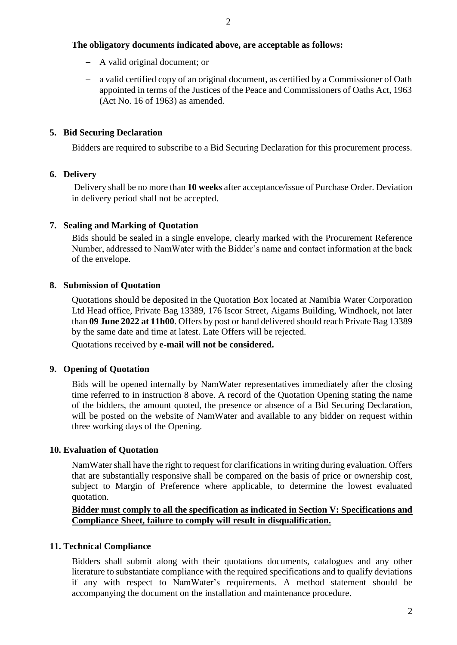#### **The obligatory documents indicated above, are acceptable as follows:**

- A valid original document; or
- a valid certified copy of an original document, as certified by a Commissioner of Oath appointed in terms of the Justices of the Peace and Commissioners of Oaths Act, 1963 (Act No. 16 of 1963) as amended.

#### **5. Bid Securing Declaration**

Bidders are required to subscribe to a Bid Securing Declaration for this procurement process.

#### **6. Delivery**

Delivery shall be no more than **10 weeks** after acceptance*/*issue of Purchase Order. Deviation in delivery period shall not be accepted.

#### **7. Sealing and Marking of Quotation**

Bids should be sealed in a single envelope, clearly marked with the Procurement Reference Number, addressed to NamWater with the Bidder's name and contact information at the back of the envelope.

#### **8. Submission of Quotation**

Quotations should be deposited in the Quotation Box located at Namibia Water Corporation Ltd Head office, Private Bag 13389, 176 Iscor Street, Aigams Building, Windhoek, not later than **09 June 2022 at 11h00**. Offers by post or hand delivered should reach Private Bag 13389 by the same date and time at latest. Late Offers will be rejected.

Quotations received by **e-mail will not be considered.**

#### **9. Opening of Quotation**

Bids will be opened internally by NamWater representatives immediately after the closing time referred to in instruction 8 above. A record of the Quotation Opening stating the name of the bidders, the amount quoted, the presence or absence of a Bid Securing Declaration, will be posted on the website of NamWater and available to any bidder on request within three working days of the Opening.

#### **10. Evaluation of Quotation**

NamWater shall have the right to request for clarifications in writing during evaluation. Offers that are substantially responsive shall be compared on the basis of price or ownership cost, subject to Margin of Preference where applicable, to determine the lowest evaluated quotation.

#### **Bidder must comply to all the specification as indicated in Section V: Specifications and Compliance Sheet, failure to comply will result in disqualification.**

#### **11. Technical Compliance**

Bidders shall submit along with their quotations documents, catalogues and any other literature to substantiate compliance with the required specifications and to qualify deviations if any with respect to NamWater's requirements. A method statement should be accompanying the document on the installation and maintenance procedure.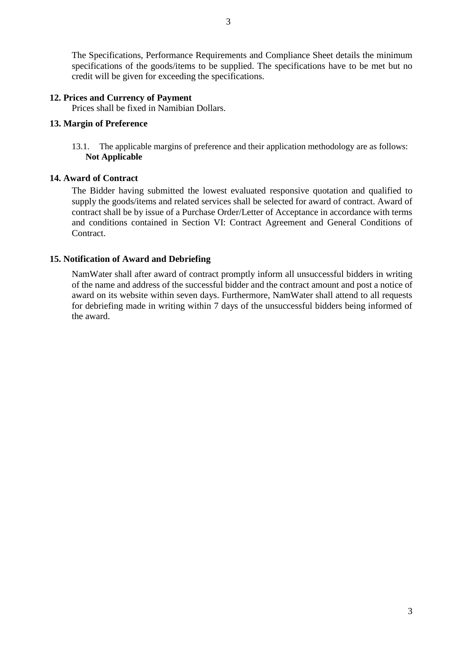The Specifications, Performance Requirements and Compliance Sheet details the minimum specifications of the goods/items to be supplied. The specifications have to be met but no credit will be given for exceeding the specifications.

#### **12. Prices and Currency of Payment**

Prices shall be fixed in Namibian Dollars.

#### **13. Margin of Preference**

13.1. The applicable margins of preference and their application methodology are as follows: **Not Applicable**

#### **14. Award of Contract**

The Bidder having submitted the lowest evaluated responsive quotation and qualified to supply the goods/items and related services shall be selected for award of contract. Award of contract shall be by issue of a Purchase Order/Letter of Acceptance in accordance with terms and conditions contained in Section VI: Contract Agreement and General Conditions of Contract.

#### **15. Notification of Award and Debriefing**

NamWater shall after award of contract promptly inform all unsuccessful bidders in writing of the name and address of the successful bidder and the contract amount and post a notice of award on its website within seven days. Furthermore, NamWater shall attend to all requests for debriefing made in writing within 7 days of the unsuccessful bidders being informed of the award.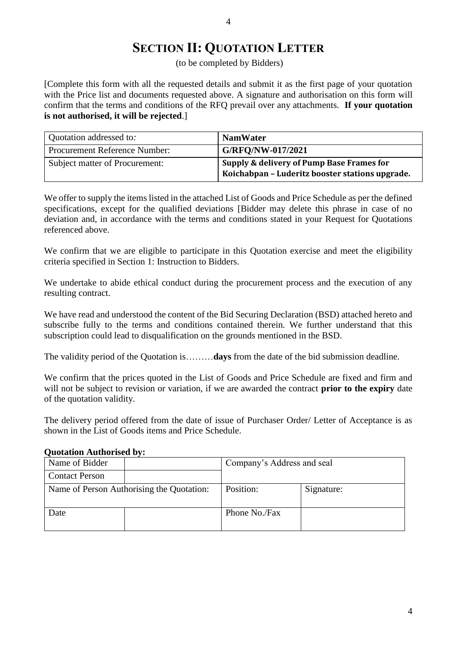## **SECTION II: QUOTATION LETTER**

(to be completed by Bidders)

[Complete this form with all the requested details and submit it as the first page of your quotation with the Price list and documents requested above. A signature and authorisation on this form will confirm that the terms and conditions of the RFQ prevail over any attachments. **If your quotation is not authorised, it will be rejected**.]

| Quotation addressed to:              | <b>NamWater</b>                                                                                |
|--------------------------------------|------------------------------------------------------------------------------------------------|
| <b>Procurement Reference Number:</b> | G/RFO/NW-017/2021                                                                              |
| Subject matter of Procurement:       | Supply & delivery of Pump Base Frames for<br>  Koichabpan - Luderitz booster stations upgrade. |

We offer to supply the items listed in the attached List of Goods and Price Schedule as per the defined specifications, except for the qualified deviations [Bidder may delete this phrase in case of no deviation and, in accordance with the terms and conditions stated in your Request for Quotations referenced above.

We confirm that we are eligible to participate in this Quotation exercise and meet the eligibility criteria specified in Section 1: Instruction to Bidders.

We undertake to abide ethical conduct during the procurement process and the execution of any resulting contract.

We have read and understood the content of the Bid Securing Declaration (BSD) attached hereto and subscribe fully to the terms and conditions contained therein. We further understand that this subscription could lead to disqualification on the grounds mentioned in the BSD.

The validity period of the Quotation is………**days** from the date of the bid submission deadline.

We confirm that the prices quoted in the List of Goods and Price Schedule are fixed and firm and will not be subject to revision or variation, if we are awarded the contract **prior to the expiry** date of the quotation validity.

The delivery period offered from the date of issue of Purchaser Order/ Letter of Acceptance is as shown in the List of Goods items and Price Schedule.

#### **Quotation Authorised by:**

| Name of Bidder                            |  | Company's Address and seal |            |  |
|-------------------------------------------|--|----------------------------|------------|--|
| <b>Contact Person</b>                     |  |                            |            |  |
| Name of Person Authorising the Quotation: |  | Position:                  | Signature: |  |
| Date                                      |  | Phone No./Fax              |            |  |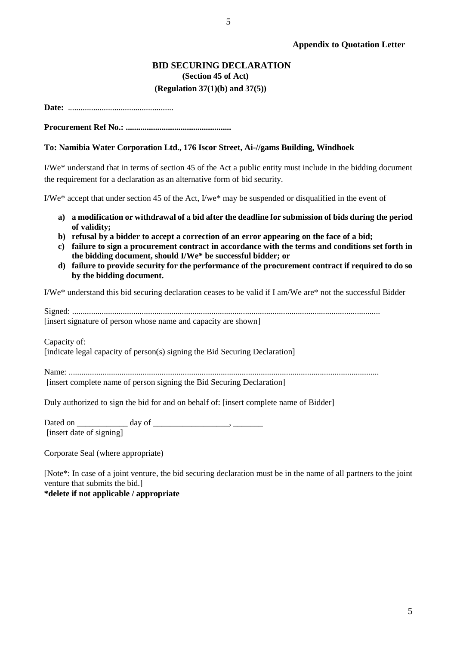#### **BID SECURING DECLARATION (Section 45 of Act) (Regulation 37(1)(b) and 37(5))**

5

**Date:** *..................................................*

**Procurement Ref No.: ..................................................**

#### **To: Namibia Water Corporation Ltd., 176 Iscor Street, Ai-//gams Building, Windhoek**

I/We\* understand that in terms of section 45 of the Act a public entity must include in the bidding document the requirement for a declaration as an alternative form of bid security.

I/We\* accept that under section 45 of the Act, I/we\* may be suspended or disqualified in the event of

- **a) a modification or withdrawal of a bid after the deadline for submission of bids during the period of validity;**
- **b) refusal by a bidder to accept a correction of an error appearing on the face of a bid;**
- **c) failure to sign a procurement contract in accordance with the terms and conditions set forth in the bidding document, should I/We\* be successful bidder; or**
- **d) failure to provide security for the performance of the procurement contract if required to do so by the bidding document.**

I/We\* understand this bid securing declaration ceases to be valid if I am/We are\* not the successful Bidder

Signed: .................................................................................................................................................. [insert signature of person whose name and capacity are shown]

Capacity of:

[indicate legal capacity of person(s) signing the Bid Securing Declaration]

Name: ................................................................................................................................................... [insert complete name of person signing the Bid Securing Declaration]

Duly authorized to sign the bid for and on behalf of: [insert complete name of Bidder]

Dated on \_\_\_\_\_\_\_\_\_\_\_\_ day of \_\_\_\_\_\_\_\_\_\_\_\_\_\_\_\_\_\_, \_\_\_\_\_\_\_ [insert date of signing]

Corporate Seal (where appropriate)

[Note\*: In case of a joint venture, the bid securing declaration must be in the name of all partners to the joint venture that submits the bid.]

**\*delete if not applicable / appropriate**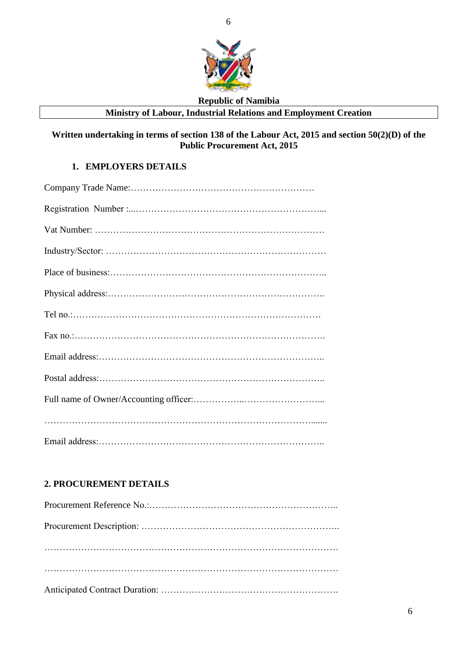

### **Republic of Namibia**

## **Ministry of Labour, Industrial Relations and Employment Creation**

**Written undertaking in terms of section 138 of the Labour Act, 2015 and section 50(2)(D) of the Public Procurement Act, 2015**

### **1. EMPLOYERS DETAILS**

## **2. PROCUREMENT DETAILS**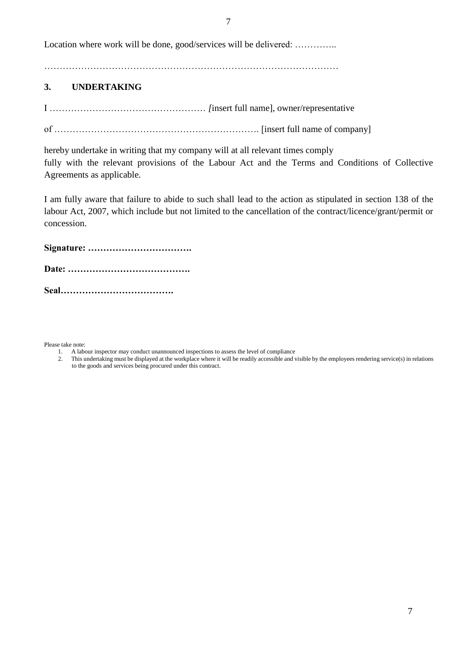Location where work will be done, good/services will be delivered: ..............

……………………………………………………………………………………

### **3. UNDERTAKING**

I …………………………………………… *[*insert full name], owner/representative

of …………………………………………………………. [insert full name of company]

hereby undertake in writing that my company will at all relevant times comply fully with the relevant provisions of the Labour Act and the Terms and Conditions of Collective Agreements as applicable.

I am fully aware that failure to abide to such shall lead to the action as stipulated in section 138 of the labour Act, 2007, which include but not limited to the cancellation of the contract/licence/grant/permit or concession.

**Signature: …………………………….**

**Date: ………………………………….**

**Seal……………………………….**

Please take note:

- 1. A labour inspector may conduct unannounced inspections to assess the level of compliance<br>
2. This undertaking must be displayed at the workplace where it will be readily accessible and y
- 2. This undertaking must be displayed at the workplace where it will be readily accessible and visible by the employees rendering service(s) in relations to the goods and services being procured under this contract.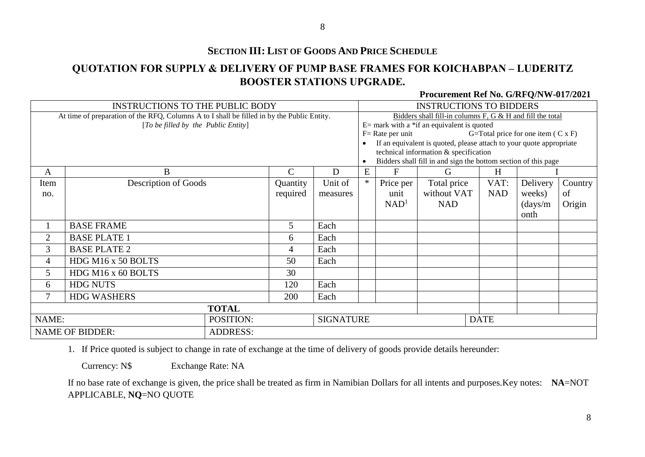## **SECTION III: LIST OF GOODS AND PRICE SCHEDULE**

## **QUOTATION FOR SUPPLY & DELIVERY OF PUMP BASE FRAMES FOR KOICHABPAN – LUDERITZ BOOSTER STATIONS UPGRADE.**

#### **Procurement Ref No. G/RFQ/NW-017/2021**

| <b>INSTRUCTIONS TO THE PUBLIC BODY</b>                                                     |                                     |                 | <b>INSTRUCTIONS TO BIDDERS</b>                            |                  |                                                                                                              |                                                                |                                              |                                           |                  |         |
|--------------------------------------------------------------------------------------------|-------------------------------------|-----------------|-----------------------------------------------------------|------------------|--------------------------------------------------------------------------------------------------------------|----------------------------------------------------------------|----------------------------------------------|-------------------------------------------|------------------|---------|
| At time of preparation of the RFQ, Columns A to I shall be filled in by the Public Entity. |                                     |                 | Bidders shall fill-in columns F, G & H and fill the total |                  |                                                                                                              |                                                                |                                              |                                           |                  |         |
|                                                                                            | [To be filled by the Public Entity] |                 |                                                           |                  |                                                                                                              |                                                                | $E=$ mark with a *if an equivalent is quoted |                                           |                  |         |
|                                                                                            |                                     |                 |                                                           |                  |                                                                                                              | $F = Rate per unit$                                            |                                              | G=Total price for one item $(C \times F)$ |                  |         |
|                                                                                            |                                     |                 |                                                           |                  | If an equivalent is quoted, please attach to your quote appropriate<br>technical information & specification |                                                                |                                              |                                           |                  |         |
|                                                                                            |                                     |                 |                                                           |                  | $\bullet$                                                                                                    | Bidders shall fill in and sign the bottom section of this page |                                              |                                           |                  |         |
| A                                                                                          | $\bf{B}$                            |                 | $\mathsf{C}$                                              | D                | ${\bf E}$                                                                                                    | $\mathbf F$                                                    | G                                            | H                                         |                  |         |
| Item                                                                                       | <b>Description of Goods</b>         |                 | Quantity                                                  | Unit of          | $\ast$                                                                                                       | Price per                                                      | Total price                                  | VAT:                                      | Delivery         | Country |
| no.                                                                                        |                                     |                 | required                                                  | measures         |                                                                                                              | unit                                                           | without VAT                                  | <b>NAD</b>                                | weeks)           | of      |
|                                                                                            |                                     |                 |                                                           |                  |                                                                                                              | NAD <sup>1</sup>                                               | <b>NAD</b>                                   |                                           | $\frac{days}{m}$ | Origin  |
|                                                                                            |                                     |                 |                                                           |                  |                                                                                                              |                                                                |                                              |                                           | onth             |         |
|                                                                                            | <b>BASE FRAME</b>                   |                 | 5                                                         | Each             |                                                                                                              |                                                                |                                              |                                           |                  |         |
| $\overline{2}$                                                                             | <b>BASE PLATE 1</b>                 |                 | 6                                                         | Each             |                                                                                                              |                                                                |                                              |                                           |                  |         |
| 3                                                                                          | <b>BASE PLATE 2</b>                 |                 | 4                                                         | Each             |                                                                                                              |                                                                |                                              |                                           |                  |         |
| $\overline{4}$                                                                             | HDG M16 x 50 BOLTS                  |                 | 50                                                        | Each             |                                                                                                              |                                                                |                                              |                                           |                  |         |
| 5                                                                                          | HDG M16 x 60 BOLTS                  |                 | 30                                                        |                  |                                                                                                              |                                                                |                                              |                                           |                  |         |
| 6                                                                                          | <b>HDG NUTS</b>                     |                 | 120                                                       | Each             |                                                                                                              |                                                                |                                              |                                           |                  |         |
| 7                                                                                          | <b>HDG WASHERS</b>                  |                 | 200                                                       | Each             |                                                                                                              |                                                                |                                              |                                           |                  |         |
| <b>TOTAL</b>                                                                               |                                     |                 |                                                           |                  |                                                                                                              |                                                                |                                              |                                           |                  |         |
| NAME:                                                                                      |                                     | POSITION:       |                                                           | <b>SIGNATURE</b> |                                                                                                              |                                                                |                                              | <b>DATE</b>                               |                  |         |
|                                                                                            | <b>NAME OF BIDDER:</b>              | <b>ADDRESS:</b> |                                                           |                  |                                                                                                              |                                                                |                                              |                                           |                  |         |

1. If Price quoted is subject to change in rate of exchange at the time of delivery of goods provide details hereunder:

Currency: N\$ Exchange Rate: NA

If no base rate of exchange is given, the price shall be treated as firm in Namibian Dollars for all intents and purposes.Key notes: **NA**=NOT APPLICABLE, **NQ**=NO QUOTE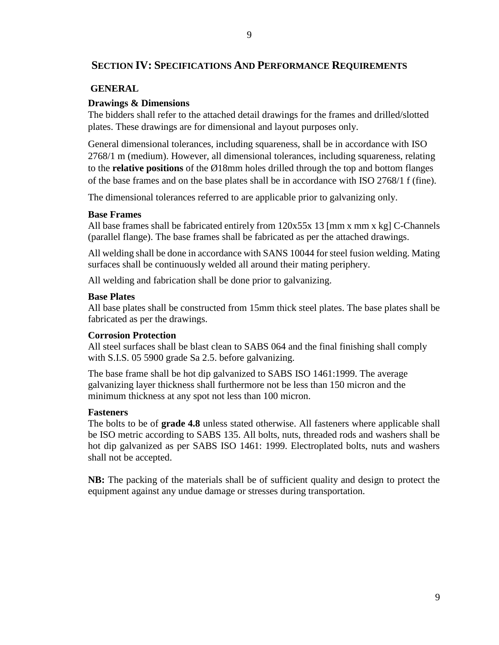#### **SECTION IV: SPECIFICATIONS AND PERFORMANCE REQUIREMENTS**

#### **GENERAL**

#### **Drawings & Dimensions**

The bidders shall refer to the attached detail drawings for the frames and drilled/slotted plates. These drawings are for dimensional and layout purposes only.

General dimensional tolerances, including squareness, shall be in accordance with ISO 2768/1 m (medium). However, all dimensional tolerances, including squareness, relating to the **relative positions** of the Ø18mm holes drilled through the top and bottom flanges of the base frames and on the base plates shall be in accordance with ISO 2768/1 f (fine).

The dimensional tolerances referred to are applicable prior to galvanizing only.

#### **Base Frames**

All base frames shall be fabricated entirely from  $120x55x 13$  [mm x mm x kg] C-Channels (parallel flange). The base frames shall be fabricated as per the attached drawings.

All welding shall be done in accordance with SANS 10044 for steel fusion welding. Mating surfaces shall be continuously welded all around their mating periphery.

All welding and fabrication shall be done prior to galvanizing.

#### **Base Plates**

All base plates shall be constructed from 15mm thick steel plates. The base plates shall be fabricated as per the drawings.

#### **Corrosion Protection**

All steel surfaces shall be blast clean to SABS 064 and the final finishing shall comply with S.I.S. 05 5900 grade Sa 2.5. before galvanizing.

The base frame shall be hot dip galvanized to SABS ISO 1461:1999. The average galvanizing layer thickness shall furthermore not be less than 150 micron and the minimum thickness at any spot not less than 100 micron.

#### **Fasteners**

The bolts to be of **grade 4.8** unless stated otherwise. All fasteners where applicable shall be ISO metric according to SABS 135. All bolts, nuts, threaded rods and washers shall be hot dip galvanized as per SABS ISO 1461: 1999. Electroplated bolts, nuts and washers shall not be accepted.

**NB:** The packing of the materials shall be of sufficient quality and design to protect the equipment against any undue damage or stresses during transportation.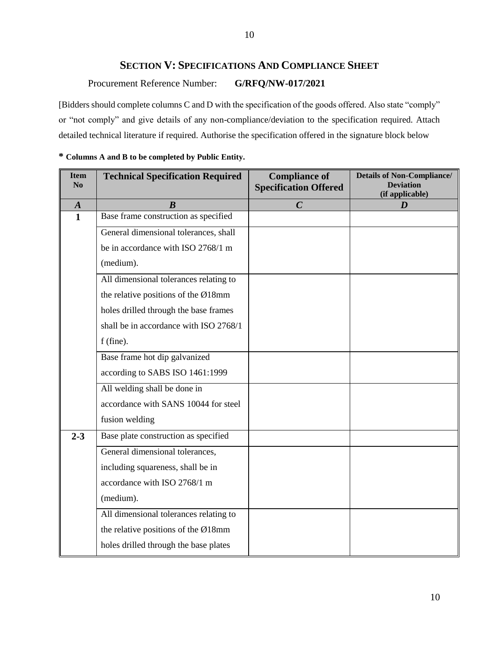## **SECTION V: SPECIFICATIONS AND COMPLIANCE SHEET**

Procurement Reference Number: **G/RFQ/NW-017/2021**

[Bidders should complete columns C and D with the specification of the goods offered. Also state "comply" or "not comply" and give details of any non-compliance/deviation to the specification required. Attach detailed technical literature if required. Authorise the specification offered in the signature block below

| <b>Item</b><br>N <sub>0</sub> | <b>Technical Specification Required</b>          | <b>Compliance of</b><br><b>Specification Offered</b> | <b>Details of Non-Compliance/</b><br><b>Deviation</b><br>(if applicable) |
|-------------------------------|--------------------------------------------------|------------------------------------------------------|--------------------------------------------------------------------------|
| $\boldsymbol{A}$              | $\boldsymbol{B}$                                 | $\overline{C}$                                       | D                                                                        |
| $\mathbf{1}$                  | Base frame construction as specified             |                                                      |                                                                          |
|                               | General dimensional tolerances, shall            |                                                      |                                                                          |
|                               | be in accordance with ISO 2768/1 m               |                                                      |                                                                          |
|                               | (medium).                                        |                                                      |                                                                          |
|                               | All dimensional tolerances relating to           |                                                      |                                                                          |
|                               | the relative positions of the $\varnothing$ 18mm |                                                      |                                                                          |
|                               | holes drilled through the base frames            |                                                      |                                                                          |
|                               | shall be in accordance with ISO 2768/1           |                                                      |                                                                          |
|                               | f (fine).                                        |                                                      |                                                                          |
|                               | Base frame hot dip galvanized                    |                                                      |                                                                          |
|                               | according to SABS ISO 1461:1999                  |                                                      |                                                                          |
|                               | All welding shall be done in                     |                                                      |                                                                          |
|                               | accordance with SANS 10044 for steel             |                                                      |                                                                          |
|                               | fusion welding                                   |                                                      |                                                                          |
| $2 - 3$                       | Base plate construction as specified             |                                                      |                                                                          |
|                               | General dimensional tolerances,                  |                                                      |                                                                          |
|                               | including squareness, shall be in                |                                                      |                                                                          |
|                               | accordance with ISO 2768/1 m                     |                                                      |                                                                          |
|                               | (medium).                                        |                                                      |                                                                          |
|                               | All dimensional tolerances relating to           |                                                      |                                                                          |
|                               | the relative positions of the $\emptyset$ 18mm   |                                                      |                                                                          |
|                               | holes drilled through the base plates            |                                                      |                                                                          |

#### **\* Columns A and B to be completed by Public Entity.**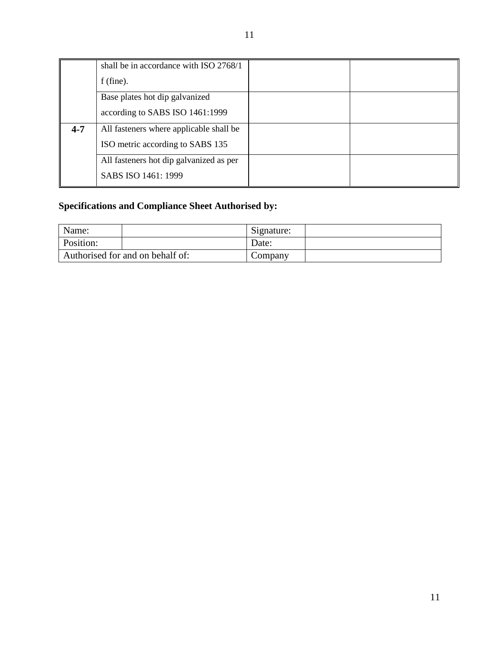|         | shall be in accordance with ISO 2768/1<br>$f$ (fine).                       |  |
|---------|-----------------------------------------------------------------------------|--|
|         | Base plates hot dip galvanized<br>according to SABS ISO 1461:1999           |  |
| $4 - 7$ | All fasteners where applicable shall be<br>ISO metric according to SABS 135 |  |
|         | All fasteners hot dip galvanized as per<br>SABS ISO 1461: 1999              |  |

## **Specifications and Compliance Sheet Authorised by:**

| Name:                            | Signature: |
|----------------------------------|------------|
| Position:                        | Date:      |
| Authorised for and on behalf of: | Company    |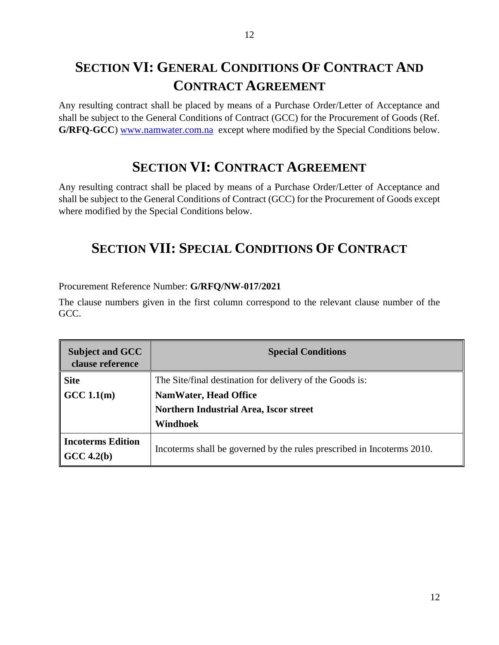## **SECTION VI: GENERAL CONDITIONS OF CONTRACT AND CONTRACT AGREEMENT**

Any resulting contract shall be placed by means of a Purchase Order/Letter of Acceptance and shall be subject to the General Conditions of Contract (GCC) for the Procurement of Goods (Ref. G/RFQ-GCC) [www.namwater.com.na](http://www.namwater.com.na/) except where modified by the Special Conditions below.

## **SECTION VI: CONTRACT AGREEMENT**

Any resulting contract shall be placed by means of a Purchase Order/Letter of Acceptance and shall be subject to the General Conditions of Contract (GCC) for the Procurement of Goods except where modified by the Special Conditions below.

## **SECTION VII: SPECIAL CONDITIONS OF CONTRACT**

Procurement Reference Number: **G/RFQ/NW-017/2021**

The clause numbers given in the first column correspond to the relevant clause number of the GCC.

| <b>Subject and GCC</b><br>clause reference | <b>Special Conditions</b>                                              |  |
|--------------------------------------------|------------------------------------------------------------------------|--|
| <b>Site</b>                                | The Site/final destination for delivery of the Goods is:               |  |
| GCC 1.1(m)                                 | <b>NamWater, Head Office</b>                                           |  |
|                                            | Northern Industrial Area, Iscor street                                 |  |
|                                            | Windhoek                                                               |  |
| <b>Incoterms Edition</b><br>$GCC\,4.2(b)$  | Incoterms shall be governed by the rules prescribed in Incoterms 2010. |  |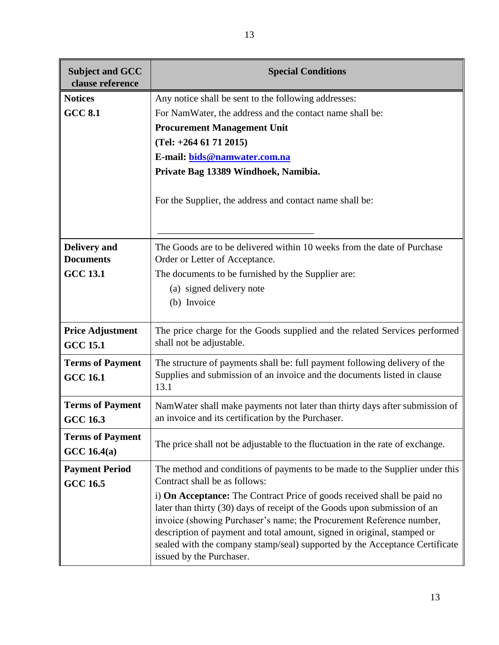| <b>Subject and GCC</b><br>clause reference | <b>Special Conditions</b>                                                                                                                                                                                                                                                                                                                                                                                                 |
|--------------------------------------------|---------------------------------------------------------------------------------------------------------------------------------------------------------------------------------------------------------------------------------------------------------------------------------------------------------------------------------------------------------------------------------------------------------------------------|
| <b>Notices</b>                             | Any notice shall be sent to the following addresses:                                                                                                                                                                                                                                                                                                                                                                      |
| <b>GCC 8.1</b>                             | For NamWater, the address and the contact name shall be:                                                                                                                                                                                                                                                                                                                                                                  |
|                                            | <b>Procurement Management Unit</b>                                                                                                                                                                                                                                                                                                                                                                                        |
|                                            | $(Tel: +264 61 71 2015)$                                                                                                                                                                                                                                                                                                                                                                                                  |
|                                            | E-mail: bids@namwater.com.na                                                                                                                                                                                                                                                                                                                                                                                              |
|                                            | Private Bag 13389 Windhoek, Namibia.                                                                                                                                                                                                                                                                                                                                                                                      |
|                                            | For the Supplier, the address and contact name shall be:                                                                                                                                                                                                                                                                                                                                                                  |
| <b>Delivery</b> and<br><b>Documents</b>    | The Goods are to be delivered within 10 weeks from the date of Purchase<br>Order or Letter of Acceptance.                                                                                                                                                                                                                                                                                                                 |
| <b>GCC 13.1</b>                            | The documents to be furnished by the Supplier are:                                                                                                                                                                                                                                                                                                                                                                        |
|                                            | (a) signed delivery note                                                                                                                                                                                                                                                                                                                                                                                                  |
|                                            | (b) Invoice                                                                                                                                                                                                                                                                                                                                                                                                               |
|                                            |                                                                                                                                                                                                                                                                                                                                                                                                                           |
| <b>Price Adjustment</b><br><b>GCC 15.1</b> | The price charge for the Goods supplied and the related Services performed<br>shall not be adjustable.                                                                                                                                                                                                                                                                                                                    |
| <b>Terms of Payment</b><br><b>GCC 16.1</b> | The structure of payments shall be: full payment following delivery of the<br>Supplies and submission of an invoice and the documents listed in clause<br>13.1                                                                                                                                                                                                                                                            |
| <b>Terms of Payment</b><br><b>GCC 16.3</b> | NamWater shall make payments not later than thirty days after submission of<br>an invoice and its certification by the Purchaser.                                                                                                                                                                                                                                                                                         |
| <b>Terms of Payment</b><br>GCC 16.4(a)     | The price shall not be adjustable to the fluctuation in the rate of exchange.                                                                                                                                                                                                                                                                                                                                             |
| <b>Payment Period</b>                      | The method and conditions of payments to be made to the Supplier under this                                                                                                                                                                                                                                                                                                                                               |
| <b>GCC 16.5</b>                            | Contract shall be as follows:                                                                                                                                                                                                                                                                                                                                                                                             |
|                                            | i) <b>On Acceptance:</b> The Contract Price of goods received shall be paid no<br>later than thirty (30) days of receipt of the Goods upon submission of an<br>invoice (showing Purchaser's name; the Procurement Reference number,<br>description of payment and total amount, signed in original, stamped or<br>sealed with the company stamp/seal) supported by the Acceptance Certificate<br>issued by the Purchaser. |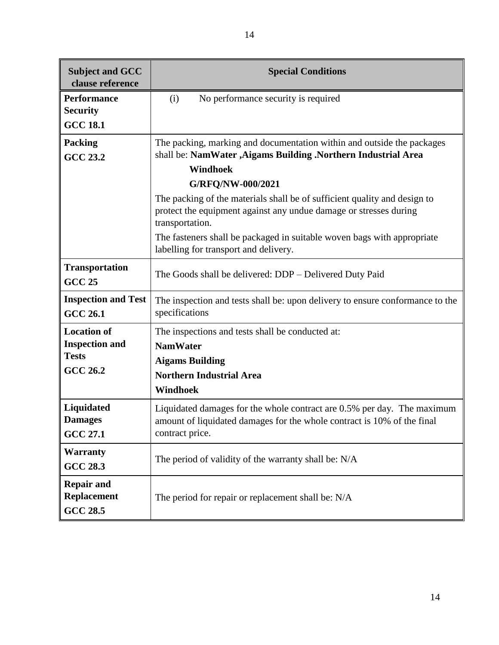| <b>Subject and GCC</b><br>clause reference                 | <b>Special Conditions</b>                                                                                                                                             |  |  |
|------------------------------------------------------------|-----------------------------------------------------------------------------------------------------------------------------------------------------------------------|--|--|
| <b>Performance</b><br><b>Security</b><br><b>GCC 18.1</b>   | No performance security is required<br>(i)                                                                                                                            |  |  |
| <b>Packing</b><br><b>GCC 23.2</b>                          | The packing, marking and documentation within and outside the packages<br>shall be: NamWater , Aigams Building . Northern Industrial Area<br><b>Windhoek</b>          |  |  |
|                                                            | G/RFQ/NW-000/2021                                                                                                                                                     |  |  |
|                                                            | The packing of the materials shall be of sufficient quality and design to<br>protect the equipment against any undue damage or stresses during<br>transportation.     |  |  |
|                                                            | The fasteners shall be packaged in suitable woven bags with appropriate<br>labelling for transport and delivery.                                                      |  |  |
| <b>Transportation</b><br><b>GCC 25</b>                     | The Goods shall be delivered: DDP - Delivered Duty Paid                                                                                                               |  |  |
| <b>Inspection and Test</b><br><b>GCC 26.1</b>              | The inspection and tests shall be: upon delivery to ensure conformance to the<br>specifications                                                                       |  |  |
| <b>Location of</b>                                         | The inspections and tests shall be conducted at:                                                                                                                      |  |  |
| <b>Inspection and</b>                                      | <b>NamWater</b>                                                                                                                                                       |  |  |
| <b>Tests</b>                                               | <b>Aigams Building</b>                                                                                                                                                |  |  |
| <b>GCC 26.2</b>                                            | <b>Northern Industrial Area</b>                                                                                                                                       |  |  |
|                                                            | <b>Windhoek</b>                                                                                                                                                       |  |  |
| Liquidated<br><b>Damages</b><br><b>GCC 27.1</b>            | Liquidated damages for the whole contract are 0.5% per day. The maximum<br>amount of liquidated damages for the whole contract is 10% of the final<br>contract price. |  |  |
| <b>Warranty</b><br><b>GCC 28.3</b>                         | The period of validity of the warranty shall be: N/A                                                                                                                  |  |  |
| <b>Repair and</b><br><b>Replacement</b><br><b>GCC 28.5</b> | The period for repair or replacement shall be: N/A                                                                                                                    |  |  |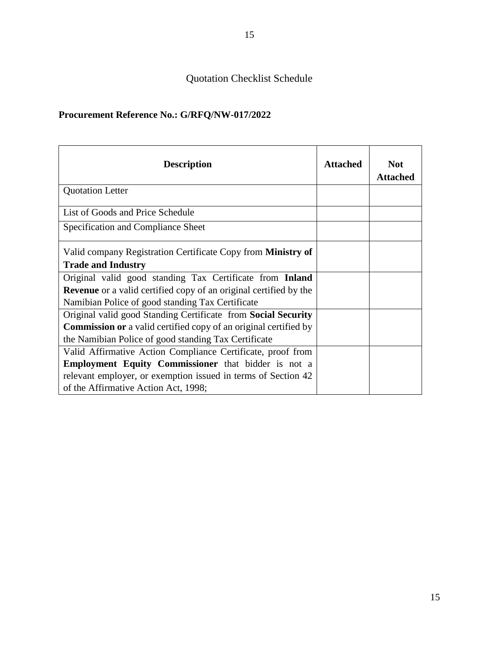## Quotation Checklist Schedule

## **Procurement Reference No.: G/RFQ/NW-017/2022**

| <b>Description</b>                                                       | <b>Attached</b> | <b>Not</b><br><b>Attached</b> |
|--------------------------------------------------------------------------|-----------------|-------------------------------|
| <b>Quotation Letter</b>                                                  |                 |                               |
| List of Goods and Price Schedule                                         |                 |                               |
| Specification and Compliance Sheet                                       |                 |                               |
| Valid company Registration Certificate Copy from <b>Ministry of</b>      |                 |                               |
| <b>Trade and Industry</b>                                                |                 |                               |
| Original valid good standing Tax Certificate from Inland                 |                 |                               |
| <b>Revenue</b> or a valid certified copy of an original certified by the |                 |                               |
| Namibian Police of good standing Tax Certificate                         |                 |                               |
| Original valid good Standing Certificate from Social Security            |                 |                               |
| <b>Commission or</b> a valid certified copy of an original certified by  |                 |                               |
| the Namibian Police of good standing Tax Certificate                     |                 |                               |
| Valid Affirmative Action Compliance Certificate, proof from              |                 |                               |
| <b>Employment Equity Commissioner</b> that bidder is not a               |                 |                               |
| relevant employer, or exemption issued in terms of Section 42            |                 |                               |
| of the Affirmative Action Act, 1998;                                     |                 |                               |